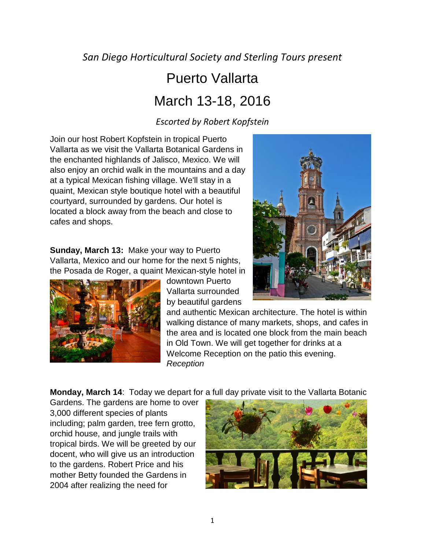*San Diego Horticultural Society and Sterling Tours present*

# Puerto Vallarta March 13-18, 2016

### *Escorted by Robert Kopfstein*

Join our host Robert Kopfstein in tropical Puerto Vallarta as we visit the Vallarta Botanical Gardens in the enchanted highlands of Jalisco, Mexico. We will also enjoy an orchid walk in the mountains and a day at a typical Mexican fishing village. We'll stay in a quaint, Mexican style boutique hotel with a beautiful courtyard, surrounded by gardens. Our hotel is located a block away from the beach and close to cafes and shops.

**Sunday, March 13:** Make your way to Puerto Vallarta, Mexico and our home for the next 5 nights, the Posada de Roger, a quaint Mexican-style hotel in



downtown Puerto Vallarta surrounded by beautiful gardens



and authentic Mexican architecture. The hotel is within walking distance of many markets, shops, and cafes in the area and is located one block from the main beach in Old Town. We will get together for drinks at a Welcome Reception on the patio this evening. *Reception*

**Monday, March 14**: Today we depart for a full day private visit to the Vallarta Botanic

Gardens. The gardens are home to over 3,000 different species of plants including; palm garden, tree fern grotto, orchid house, and jungle trails with tropical birds. We will be greeted by our docent, who will give us an introduction to the gardens. Robert Price and his mother Betty founded the Gardens in 2004 after realizing the need for

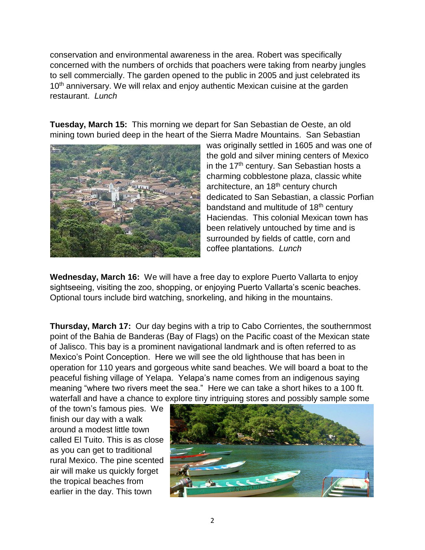conservation and environmental awareness in the area. Robert was specifically concerned with the numbers of orchids that poachers were taking from nearby jungles to sell commercially. The garden opened to the public in 2005 and just celebrated its 10<sup>th</sup> anniversary. We will relax and enjoy authentic Mexican cuisine at the garden restaurant. *Lunch*

**Tuesday, March 15:** This morning we depart for San Sebastian de Oeste, an old mining town buried deep in the heart of the Sierra Madre Mountains. San Sebastian



was originally settled in 1605 and was one of the gold and silver mining centers of Mexico in the 17<sup>th</sup> century. San Sebastian hosts a charming cobblestone plaza, classic white architecture, an 18<sup>th</sup> century church dedicated to San Sebastian, a classic Porfian bandstand and multitude of 18<sup>th</sup> century Haciendas. This colonial Mexican town has been relatively untouched by time and is surrounded by fields of cattle, corn and coffee plantations. *Lunch* 

**Wednesday, March 16:** We will have a free day to explore Puerto Vallarta to enjoy sightseeing, visiting the zoo, shopping, or enjoying Puerto Vallarta's scenic beaches. Optional tours include bird watching, snorkeling, and hiking in the mountains.

**Thursday, March 17:** Our day begins with a trip to Cabo Corrientes, the southernmost point of the Bahia de Banderas (Bay of Flags) on the Pacific coast of the Mexican state of Jalisco. This bay is a prominent navigational landmark and is often referred to as Mexico's Point Conception. Here we will see the old lighthouse that has been in operation for 110 years and gorgeous white sand beaches. We will board a boat to the peaceful fishing village of Yelapa. Yelapa's name comes from an indigenous saying meaning "where two rivers meet the sea." Here we can take a short hikes to a 100 ft. waterfall and have a chance to explore tiny intriguing stores and possibly sample some

of the town's famous pies. We finish our day with a walk around a modest little town called El Tuito. This is as close as you can get to traditional rural Mexico. The pine scented air will make us quickly forget the tropical beaches from earlier in the day. This town

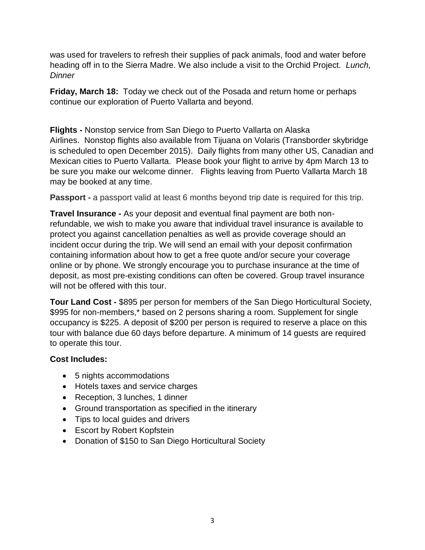was used for travelers to refresh their supplies of pack animals, food and water before heading off in to the Sierra Madre. We also include a visit to the Orchid Project. *Lunch, Dinner*

**Friday, March 18:** Today we check out of the Posada and return home or perhaps continue our exploration of Puerto Vallarta and beyond.

**Flights -** Nonstop service from San Diego to Puerto Vallarta on Alaska Airlines. Nonstop flights also available from Tijuana on Volaris (Transborder skybridge is scheduled to open December 2015). Daily flights from many other US, Canadian and Mexican cities to Puerto Vallarta. Please book your flight to arrive by 4pm March 13 to be sure you make our welcome dinner. Flights leaving from Puerto Vallarta March 18 may be booked at any time.

**Passport -** a passport valid at least 6 months beyond trip date is required for this trip.

**Travel Insurance -** As your deposit and eventual final payment are both nonrefundable, we wish to make you aware that individual travel insurance is available to protect you against cancellation penalties as well as provide coverage should an incident occur during the trip. We will send an email with your deposit confirmation containing information about how to get a free quote and/or secure your coverage online or by phone. We strongly encourage you to purchase insurance at the time of deposit, as most pre-existing conditions can often be covered. Group travel insurance will not be offered with this tour.

**Tour Land Cost -** \$895 per person for members of the San Diego Horticultural Society, \$995 for non-members,\* based on 2 persons sharing a room. Supplement for single occupancy is \$225. A deposit of \$200 per person is required to reserve a place on this tour with balance due 60 days before departure. A minimum of 14 guests are required to operate this tour.

#### **Cost Includes:**

- 5 nights accommodations
- Hotels taxes and service charges
- Reception, 3 lunches, 1 dinner
- Ground transportation as specified in the itinerary
- Tips to local guides and drivers
- Escort by Robert Kopfstein
- Donation of \$150 to San Diego Horticultural Society